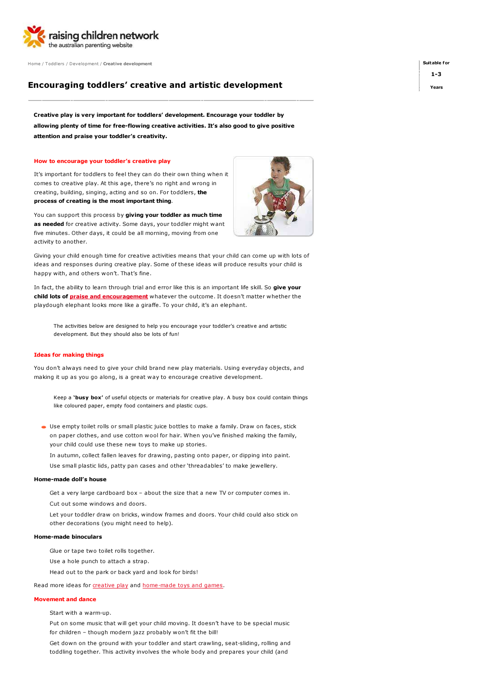

Home / Toddlers / Development / Creative development

# Encouraging toddlers' creative and artistic development

Creative play is very important for toddlers' development. Encourage your toddler by allowing plenty of time for free-flowing creative activities. It's also good to give positive attention and praise your toddler's creativity.

#### How to encourage your toddler's creative play

It's important for toddlers to feel they can do their own thing when it comes to creative play. At this age, there's no right and wrong in creating, building, singing, acting and so on. For toddlers, the process of creating is the most important thing.

You can support this process by giving your toddler as much time as needed for creative activity. Some days, your toddler might want five minutes. Other days, it could be all morning, moving from one activity to another.

Giving your child enough time for creative activities means that your child can come up with lots of ideas and responses during creative play. Some of these ideas will produce results your child is happy with, and others won't. That's fine.

In fact, the ability to learn through trial and error like this is an important life skill. So give your child lots of **praise and encouragement** whatever the outcome. It doesn't matter whether the playdough elephant looks more like a giraffe. To your child, it's an elephant.

The activities below are designed to help you encourage your toddler's creative and artistic development. But they should also be lots of fun!

#### Ideas for making things

You don't always need to give your child brand new play materials. Using everyday objects, and making it up as you go along, is a great way to encourage creative development.

Keep a 'busy box' of useful objects or materials for creative play. A busy box could contain things like coloured paper, empty food containers and plastic cups.

Use empty toilet rolls or small plastic juice bottles to make a family. Draw on faces, stick on paper clothes, and use cotton wool for hair. When you've finished making the family, your child could use these new toys to make up stories.

In autumn, collect fallen leaves for drawing, pasting onto paper, or dipping into paint.

Use small plastic lids, patty pan cases and other 'threadables' to make jewellery.

# Home-made doll's house

Get a very large cardboard box – about the size that a new TV or computer comes in.

Cut out some windows and doors.

Let your toddler draw on bricks, window frames and doors. Your child could also stick on other decorations (you might need to help).

# Home-made binoculars

Glue or tape two toilet rolls together.

Use a hole punch to attach a strap.

Head out to the park or back yard and look for birds!

Read more ideas for creative play and home-made toys and games.

### Movement and dance

Start with a warm-up.

Put on some music that will get your child moving. It doesn't have to be special music for children – though modern jazz probably won't fit the bill!

Get down on the ground with your toddler and start crawling, seat-sliding, rolling and toddling together. This activity involves the whole body and prepares your child (and



Suitable for 1-3

Years